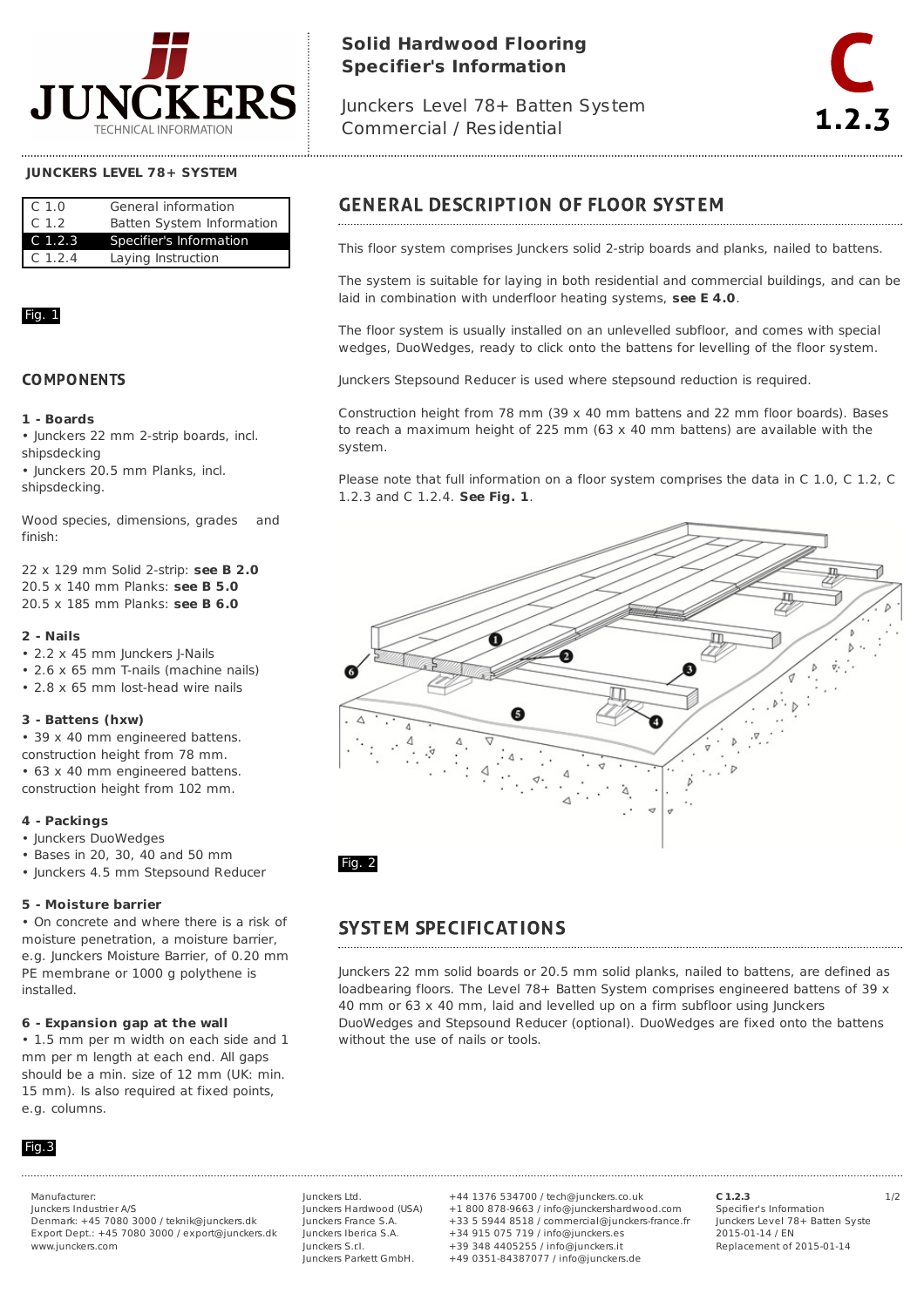

# **Solid Hardwood Flooring Specifier's Information**

Junckers Level 78+ Batten System Commercial / Residential



#### **JUNCKERS LEVEL 78+ SYSTEM**

| $\subset$ 1.0    | General information       |
|------------------|---------------------------|
| C <sub>1.2</sub> | Batten System Information |
| $C_1.2.3$        | Specifier's Information   |
| $C_1, 2, 4$      | Laying Instruction        |

### Fig. 1

#### **COMPONENTS**

#### **1 - Boards**

• Junckers 22 mm 2-strip boards, incl. shipsdecking

• Junckers 20.5 mm Planks, incl. shipsdecking.

Wood species, dimensions, grades and finish:

22 x 129 mm Solid 2-strip: **see B 2.0** 20.5 x 140 mm Planks: **see B 5.0** 20.5 x 185 mm Planks: **see B 6.0**

#### **2 - Nails**

• 2.2 x 45 mm Junckers J-Nails

- 2.6 x 65 mm T-nails (machine nails)
- 2.8 x 65 mm lost-head wire nails

#### **3 - Battens (hxw)**

• 39 x 40 mm engineered battens. construction height from 78 mm. • 63 x 40 mm engineered battens. construction height from 102 mm.

#### **4 - Packings**

• Junckers DuoWedges

- Bases in 20, 30, 40 and 50 mm
- Junckers 4.5 mm Stepsound Reducer

#### **5 - Moisture barrier**

• On concrete and where there is a risk of moisture penetration, a moisture barrier, e.g. Junckers Moisture Barrier, of 0.20 mm PE membrane or 1000 g polythene is installed.

#### **6 - Expansion gap at the wall**

• 1.5 mm per m width on each side and 1 mm per m length at each end. All gaps should be a min. size of 12 mm (UK: min. 15 mm). Is also required at fixed points, e.g. columns.

### Fig.3

Junckers Industrier A/S Denmark: +45 7080 3000 / teknik@junckers.dk Export Dept.: +45 7080 3000 / export@junckers.dk www.junckers.com

Junckers Ltd. Junckers Hardwood (USA) Junckers France S.A. Junckers Iberica S.A. Junckers S.r.I. Junckers Parkett GmbH.

Manufacturer: 1/2 +44 1376 534700 / tech@junckers.co.uk +1 800 878-9663 / info@junckershardwood.com +33 5 5944 8518 / commercial@junckers-france.fr +34 915 075 719 / info@junckers.es +39 348 4405255 / info@junckers.it +49 0351-84387077 / info@junckers.de

**C 1.2.3** Specifier's Information Junckers Level 78+ Batten Syste 2015-01-14 / EN Replacement of 2015-01-14

# **GENERAL DESCRIPTION OF FLOOR SYSTEM**

This floor system comprises Junckers solid 2-strip boards and planks, nailed to battens.

The system is suitable for laying in both residential and commercial buildings, and can be laid in combination with underfloor heating systems, **see E 4.0**.

The floor system is usually installed on an unlevelled subfloor, and comes with special wedges, DuoWedges, ready to click onto the battens for levelling of the floor system.

Junckers Stepsound Reducer is used where stepsound reduction is required.

Construction height from 78 mm (39  $\times$  40 mm battens and 22 mm floor boards). Bases to reach a maximum height of 225 mm  $(63 \times 40 \text{ mm}$  battens) are available with the system.

Please note that full information on a floor system comprises the data in C 1.0, C 1.2, C 1.2.3 and C 1.2.4. **See Fig. 1**.



Fig. 2

# **SYSTEM SPECIFICATIONS**

Junckers 22 mm solid boards or 20.5 mm solid planks, nailed to battens, are defined as loadbearing floors. The Level 78+ Batten System comprises engineered battens of 39 x 40 mm or 63 x 40 mm, laid and levelled up on a firm subfloor using Junckers DuoWedges and Stepsound Reducer (optional). DuoWedges are fixed onto the battens without the use of nails or tools.